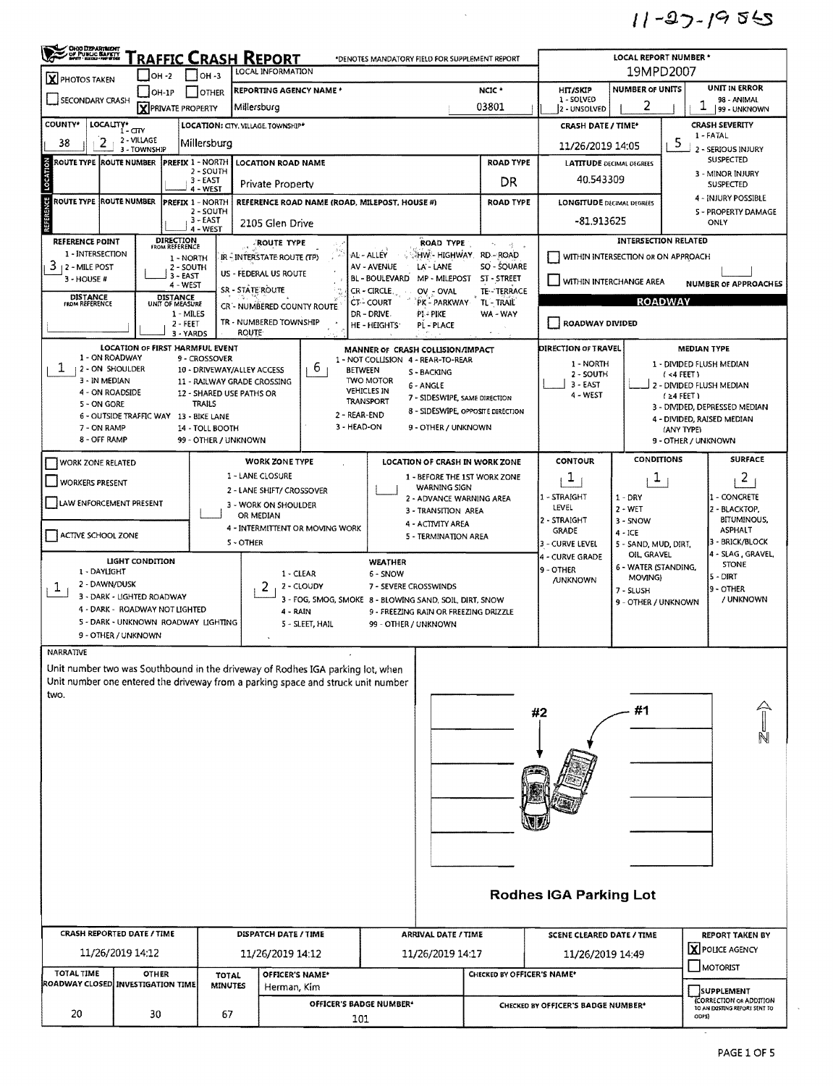$11 - 27 - 1955$ 

| <b>CHO DEPARTMENT</b>                                                            |                            |                                        |                            | <b>RAFFIC CRASH REPORT</b>     |                                               |                                         | *DENOTES MANDATORY FIELD FOR SUPPLEMENT REPORT                                                   |                            |                                                        | LOCAL REPORT NUMBER *                                          |                              |                                      |  |  |  |
|----------------------------------------------------------------------------------|----------------------------|----------------------------------------|----------------------------|--------------------------------|-----------------------------------------------|-----------------------------------------|--------------------------------------------------------------------------------------------------|----------------------------|--------------------------------------------------------|----------------------------------------------------------------|------------------------------|--------------------------------------|--|--|--|
| <b>X</b> PHOTOS TAKEN                                                            |                            | IOH -2                                 | $IOH - 3$                  | LOCAL INFORMATION              |                                               |                                         |                                                                                                  | 19MPD2007                  |                                                        |                                                                |                              |                                      |  |  |  |
| SECONDARY CRASH                                                                  |                            | $OH-1P$                                | I OTHER                    | <b>REPORTING AGENCY NAME *</b> |                                               |                                         |                                                                                                  | NCIC <sup>*</sup>          | <b>HIT/SKIP</b><br>1 - SOLVED                          | <b>NUMBER OF UNITS</b>                                         | UNIT IN ERROR<br>98 - ANIMAL |                                      |  |  |  |
|                                                                                  |                            | <b>X</b> PRIVATE PROPERTY              |                            | Millersburg                    |                                               |                                         |                                                                                                  | 03801                      | 2 - UNSOLVED                                           | 2                                                              | 1<br>99 - UNKNOWN            |                                      |  |  |  |
| <b>COUNTY*</b><br>LOCALITY* CITY<br>LOCATION: CITY. VILLAGE. TOWNSHIP*           |                            |                                        |                            |                                |                                               |                                         |                                                                                                  |                            |                                                        | <b>CRASH DATE / TIME*</b>                                      | <b>CRASH SEVERITY</b>        |                                      |  |  |  |
| 2<br>38                                                                          | 2 - VILLAGE                |                                        | Millersburg                |                                |                                               |                                         |                                                                                                  |                            | 11/26/2019 14:05                                       |                                                                | 5                            | 1 - FATAL                            |  |  |  |
| ROUTE TYPE ROUTE NUMBER                                                          | 3 - TOWNSHIP               | <b>PREFIX 1 - NORTH</b>                |                            | <b>LOCATION ROAD NAME</b>      |                                               |                                         |                                                                                                  | <b>ROAD TYPE</b>           | <b>LATITUDE DECIMAL DEGREES</b>                        |                                                                |                              | 2 - SERIOUS INJURY<br>SUSPECTED      |  |  |  |
| LOCATION                                                                         |                            |                                        | 2 - SOUTH                  |                                |                                               |                                         |                                                                                                  |                            |                                                        | 3 - MINOR INJURY                                               |                              |                                      |  |  |  |
|                                                                                  |                            |                                        | $3 - EAST$<br>4 - WEST     | <b>Private Property</b>        |                                               | 40.543309                               |                                                                                                  |                            | <b>SUSPECTED</b>                                       |                                                                |                              |                                      |  |  |  |
| ÿ<br><b>ROUTE TYPE</b>                                                           | <b>ROUTE NUMBER</b>        | <b>PREFIX 1 - NORTH</b>                |                            |                                | REFERENCE ROAD NAME (ROAD, MILEPOST, HOUSE #) |                                         |                                                                                                  | <b>ROAD TYPE</b>           | <b>LONGITUDE DECIMAL DEGRÉES</b>                       |                                                                | 4 - INJURY POSSIBLE          |                                      |  |  |  |
| REFERE                                                                           |                            |                                        | 2 - SOUTH<br>3 - EAST      |                                |                                               |                                         |                                                                                                  |                            | -81.913625                                             |                                                                |                              | <b>S - PROPERTY DAMAGE</b>           |  |  |  |
|                                                                                  |                            |                                        | 4 - WEST                   | 2105 Glen Drive                |                                               |                                         |                                                                                                  |                            |                                                        |                                                                |                              | ONLY                                 |  |  |  |
| <b>REFERENCE POINT</b>                                                           |                            | <b>DIRECTION</b><br>FROM REFERENCE     |                            | ROUTE TYPE                     |                                               |                                         | <b>ROAD TYPE</b>                                                                                 | ٠.<br>怪人                   |                                                        | <b>INTERSECTION RELATED</b>                                    |                              |                                      |  |  |  |
| 1 - INTERSECTION                                                                 |                            | 1 - NORTH                              |                            | IR - INTERSTATE ROUTE (TP)     |                                               | AL-ALLEY                                | <b>AHW-HIGHWAY, RD-ROAD</b>                                                                      |                            |                                                        | WITHIN INTERSECTION OR ON APPROACH                             |                              |                                      |  |  |  |
| 3<br>12 - MILE POST<br>3 - HOUSE #                                               |                            | 2 - SOUTH<br>3 - EAST                  |                            | US - FEDERAL US ROUTE          |                                               | AV - AVENUE<br>BL-BOULEVARD MP-MILEPOST | LA' - LANE                                                                                       | SQ - SQUARE<br>ST - STREET |                                                        |                                                                |                              |                                      |  |  |  |
|                                                                                  |                            | 4 - WEST                               |                            | SR - STATE ROUTE               |                                               | CR-CIRCLE.                              | OV - OVAL                                                                                        | TE-TERRACE                 | WITHIN INTERCHANGE AREA<br><b>NUMBER OF APPROACHES</b> |                                                                |                              |                                      |  |  |  |
| <b>DISTANCE</b><br>FROM REFERENCE                                                |                            | DISTANCE<br>UNIT OF MEASURE            |                            | CR - NUMBERED COUNTY ROUTE     |                                               | <b>CT-COURT</b>                         | PK - PARKWAY                                                                                     | TL - TRAIL                 | <b>ROADWAY</b>                                         |                                                                |                              |                                      |  |  |  |
|                                                                                  |                            | 1 - MILES<br>$2 - FEET$                |                            | TR - NUMBERED TOWNSHIP         |                                               | DR - DRIVE.<br>HE - HEIGHTS             | PI - PIKE<br>PL - PLACE                                                                          | WA - WAY                   | ROADWAY DIVIDED                                        |                                                                |                              |                                      |  |  |  |
|                                                                                  |                            | 3 - YARDS                              |                            | <b>ROUTE</b>                   |                                               |                                         |                                                                                                  |                            |                                                        |                                                                |                              |                                      |  |  |  |
|                                                                                  |                            | <b>LOCATION OF FIRST HARMFUL EVENT</b> |                            |                                |                                               |                                         | MANNER OF CRASH COLLISION/IMPACT                                                                 |                            | <b>DIRECTION OF TRAVEL</b>                             |                                                                | <b>MEDIAN TYPE</b>           |                                      |  |  |  |
| 1 - ON ROADWAY<br>T.                                                             |                            |                                        | 9 - CROSSOVER              |                                | 6                                             | 1 - NOT COLLISION 4 - REAR-TO-REAR      |                                                                                                  |                            | 1 - NORTH                                              |                                                                |                              | 1 - DIVIDED FLUSH MEDIAN             |  |  |  |
| 2 - ON SHOULDER<br>3 - IN MEDIAN                                                 |                            |                                        | 10 - DRIVEWAY/ALLEY ACCESS | 11 - RAILWAY GRADE CROSSING    |                                               | <b>BETWEEN</b><br><b>TWO MOTOR</b>      | S - BACKING                                                                                      |                            | 2 - SOUTH                                              |                                                                | $(4$ FEET)                   |                                      |  |  |  |
| 4 - ON ROADSIDE                                                                  |                            |                                        | 12 - SHARED USE PATHS OR   |                                |                                               | <b>VEHICLES IN</b>                      | 6 - ANGLE<br>7 - SIDESWIPE, SAME DIRECTION                                                       |                            | $3 - EAST$<br>4 - WEST                                 |                                                                | $(24$ FEET)                  | 2 - DIVIDED FLUSH MEDIAN             |  |  |  |
| 5 - ON GORE                                                                      |                            |                                        | <b>TRAILS</b>              |                                |                                               | TRANSPORT                               | 8 - SIDESWIPE, OPPOSITE DIRECTION                                                                |                            |                                                        |                                                                |                              | 3 - DIVIDED, DEPRESSED MEDIAN        |  |  |  |
|                                                                                  |                            | 6 - OUTSIDE TRAFFIC WAY 13 - BIKE LANE |                            |                                | 2 - REAR-END                                  |                                         |                                                                                                  |                            |                                                        |                                                                |                              | 4 - DIVIDED, RAISED MEDIAN           |  |  |  |
| 7 - ON RAMP<br>8 - OFF RAMP                                                      |                            |                                        | 14 - TOLL BOOTH            |                                | 3 - HEAD ON                                   |                                         | 9 - OTHER / UNKNOWN                                                                              |                            |                                                        |                                                                | (ANY TYPE)                   |                                      |  |  |  |
|                                                                                  |                            |                                        | 99 - OTHER / UNKNOWN       |                                |                                               |                                         |                                                                                                  |                            |                                                        |                                                                | 9 - OTHER / UNKNOWN          |                                      |  |  |  |
| <b>WORK ZONE RELATED</b>                                                         |                            |                                        |                            | <b>WORK ZONE TYPE</b>          |                                               |                                         | LOCATION OF CRASH IN WORK ZONE                                                                   |                            | <b>CONTOUR</b>                                         | <b>CONDITIONS</b>                                              |                              | <b>SURFACE</b>                       |  |  |  |
| <b>WORKERS PRESENT</b>                                                           |                            |                                        |                            | 1 - LANE CLOSURE               |                                               |                                         | 1 - BEFORE THE 1ST WORK ZONE                                                                     |                            | T                                                      | 1                                                              |                              | $\overline{2}$                       |  |  |  |
|                                                                                  |                            |                                        |                            | 2 - LANE SHIFT/ CROSSOVER      |                                               |                                         | WARNING SIGN<br>2 - ADVANCE WARNING AREA                                                         |                            | 1 - STRAIGHT                                           | $1 - DRY$                                                      |                              | 1 - CONCRETE                         |  |  |  |
| LAW ENFORCEMENT PRESENT                                                          |                            |                                        |                            | 3 - WORK ON SHOULDER           |                                               |                                         | 3 - TRANSITION AREA                                                                              |                            | LEVEL                                                  | $2 - WET$                                                      |                              | 2 - BLACKTOP,                        |  |  |  |
|                                                                                  |                            |                                        |                            | OR MEDIAN                      |                                               |                                         | 4 - ACTIVITY AREA                                                                                |                            | 2 - STRAIGHT                                           | 3 - SNOW                                                       |                              | <b>BITUMINOUS,</b>                   |  |  |  |
| ACTIVE SCHOOL ZONE                                                               |                            |                                        |                            |                                | 4 - INTERMITTENT OR MOVING WORK               |                                         | 5 - TERMINATION AREA                                                                             |                            | <b>GRADE</b>                                           | $4 - ICE$                                                      |                              | ASPHALT                              |  |  |  |
|                                                                                  |                            |                                        |                            | S - OTHER                      |                                               |                                         |                                                                                                  |                            | 3 - CURVE LEVEL                                        | 5 - SAND, MUD, DIRT,<br>OIL, GRAVEL                            |                              | 3 - BRICK/BLOCK<br>4 - SLAG, GRAVEL, |  |  |  |
|                                                                                  | LIGHT CONDITION            |                                        |                            |                                |                                               | WEATHER                                 |                                                                                                  |                            | 4 - CURVE GRADE                                        | 6 - WATER (STANDING,                                           |                              | <b>STONE</b>                         |  |  |  |
| 1 - DAYLIGHT                                                                     |                            |                                        |                            | 1 - CLEAR                      |                                               | 6 - SNOW                                |                                                                                                  |                            | 9 - OTHER<br><b>/UNKNOWN</b>                           | MOVING)                                                        |                              | 5 - DIRT                             |  |  |  |
| 2 - DAWN/DUSK<br>1                                                               | 3 - DARK - LIGHTED ROADWAY |                                        |                            | 2                              | 2 - CLOUDY                                    | 7 - SEVERE CROSSWINDS                   |                                                                                                  |                            |                                                        | 7 - SLUSH                                                      |                              | 9 - OTHER                            |  |  |  |
|                                                                                  |                            | 4 - DARK - ROADWAY NOT LIGHTED         |                            |                                |                                               |                                         | 3 - FOG, SMOG, SMOKE 8 - BLOWING SAND, SOIL, DIRT, SNOW<br>9 - FREEZING RAIN OR FREEZING DRIZZLE |                            |                                                        | 9 - OTHER / UNKNOWN                                            |                              | / UNKNOWN                            |  |  |  |
|                                                                                  |                            | 5 - DARK - UNKNOWN ROADWAY LIGHTING    |                            | $4 - RAIN$                     | 5 - SLEET, HAIL                               | 99 - OTHER / UNKNOWN                    |                                                                                                  |                            |                                                        |                                                                |                              |                                      |  |  |  |
|                                                                                  | 9 - OTHER / UNKNOWN        |                                        |                            |                                |                                               |                                         |                                                                                                  |                            |                                                        |                                                                |                              |                                      |  |  |  |
| NARRATIVE                                                                        |                            |                                        |                            |                                |                                               |                                         |                                                                                                  |                            |                                                        |                                                                |                              |                                      |  |  |  |
| Unit number two was Southbound in the driveway of Rodhes IGA parking lot, when   |                            |                                        |                            |                                |                                               |                                         |                                                                                                  |                            |                                                        |                                                                |                              |                                      |  |  |  |
| Unit number one entered the driveway from a parking space and struck unit number |                            |                                        |                            |                                |                                               |                                         |                                                                                                  |                            |                                                        |                                                                |                              |                                      |  |  |  |
| two.                                                                             |                            |                                        |                            |                                |                                               |                                         |                                                                                                  |                            |                                                        |                                                                |                              |                                      |  |  |  |
|                                                                                  |                            |                                        |                            |                                |                                               |                                         |                                                                                                  |                            | #2                                                     | #1                                                             |                              |                                      |  |  |  |
|                                                                                  |                            |                                        |                            |                                |                                               |                                         |                                                                                                  |                            |                                                        |                                                                |                              |                                      |  |  |  |
|                                                                                  |                            |                                        |                            |                                |                                               |                                         |                                                                                                  |                            |                                                        |                                                                |                              |                                      |  |  |  |
|                                                                                  |                            |                                        |                            |                                |                                               |                                         |                                                                                                  |                            |                                                        |                                                                |                              |                                      |  |  |  |
|                                                                                  |                            |                                        |                            |                                |                                               |                                         |                                                                                                  |                            |                                                        |                                                                |                              |                                      |  |  |  |
|                                                                                  |                            |                                        |                            |                                |                                               |                                         |                                                                                                  |                            |                                                        |                                                                |                              |                                      |  |  |  |
|                                                                                  |                            |                                        |                            |                                |                                               |                                         |                                                                                                  |                            |                                                        |                                                                |                              |                                      |  |  |  |
|                                                                                  |                            |                                        |                            |                                |                                               |                                         |                                                                                                  |                            |                                                        |                                                                |                              |                                      |  |  |  |
|                                                                                  |                            |                                        |                            |                                |                                               |                                         |                                                                                                  |                            |                                                        |                                                                |                              |                                      |  |  |  |
|                                                                                  |                            |                                        |                            |                                |                                               |                                         |                                                                                                  |                            |                                                        |                                                                |                              |                                      |  |  |  |
|                                                                                  |                            |                                        |                            |                                |                                               |                                         |                                                                                                  |                            |                                                        |                                                                |                              |                                      |  |  |  |
|                                                                                  |                            |                                        |                            |                                |                                               |                                         |                                                                                                  |                            |                                                        |                                                                |                              |                                      |  |  |  |
|                                                                                  |                            |                                        |                            |                                |                                               |                                         |                                                                                                  |                            |                                                        |                                                                |                              |                                      |  |  |  |
|                                                                                  |                            |                                        |                            |                                |                                               |                                         |                                                                                                  |                            | <b>Rodhes IGA Parking Lot</b>                          |                                                                |                              |                                      |  |  |  |
|                                                                                  |                            |                                        |                            |                                |                                               |                                         |                                                                                                  |                            |                                                        |                                                                |                              |                                      |  |  |  |
|                                                                                  |                            |                                        |                            |                                |                                               |                                         |                                                                                                  |                            |                                                        |                                                                |                              |                                      |  |  |  |
| <b>CRASH REPORTED DATE / TIME</b>                                                |                            |                                        |                            | DISPATCH DATE / TIME           |                                               |                                         | ARRIVAL DATE / TIME                                                                              |                            | <b>SCENE CLEARED DATE / TIME</b>                       |                                                                |                              | <b>REPORT TAKEN BY</b>               |  |  |  |
|                                                                                  | 11/26/2019 14:12           |                                        |                            | 11/26/2019 14:12               |                                               |                                         | 11/26/2019 14:17                                                                                 |                            |                                                        |                                                                |                              | X POLICE AGENCY                      |  |  |  |
|                                                                                  |                            |                                        |                            |                                |                                               |                                         |                                                                                                  |                            | 11/26/2019 14:49                                       |                                                                |                              | MOTORIST                             |  |  |  |
| TOTAL TIME                                                                       |                            | <b>OTHER</b>                           | TOTAL                      | OFFICER'S NAME*                |                                               |                                         |                                                                                                  | CHECKED BY OFFICER'S NAME* |                                                        |                                                                |                              |                                      |  |  |  |
| ROADWAY CLOSED INVESTIGATION TIME                                                |                            |                                        | <b>MINUTES</b>             | Herman, Kim                    |                                               |                                         |                                                                                                  |                            |                                                        |                                                                |                              | SUPPLEMENT                           |  |  |  |
|                                                                                  |                            |                                        |                            |                                |                                               | OFFICER'S BADGE NUMBER*                 |                                                                                                  |                            | CHECKED BY OFFICER'S BADGE NUMBER*                     | <b>CORRECTION OR ADDITION</b><br>TO AN EXISTING REPORT SENT TO |                              |                                      |  |  |  |
| 20                                                                               |                            | 30                                     | 67                         |                                |                                               | 101                                     |                                                                                                  |                            |                                                        |                                                                |                              |                                      |  |  |  |
|                                                                                  |                            |                                        |                            |                                |                                               |                                         |                                                                                                  |                            | ODPS)                                                  |                                                                |                              |                                      |  |  |  |

 $\mathcal{L}_{\mathcal{A}}$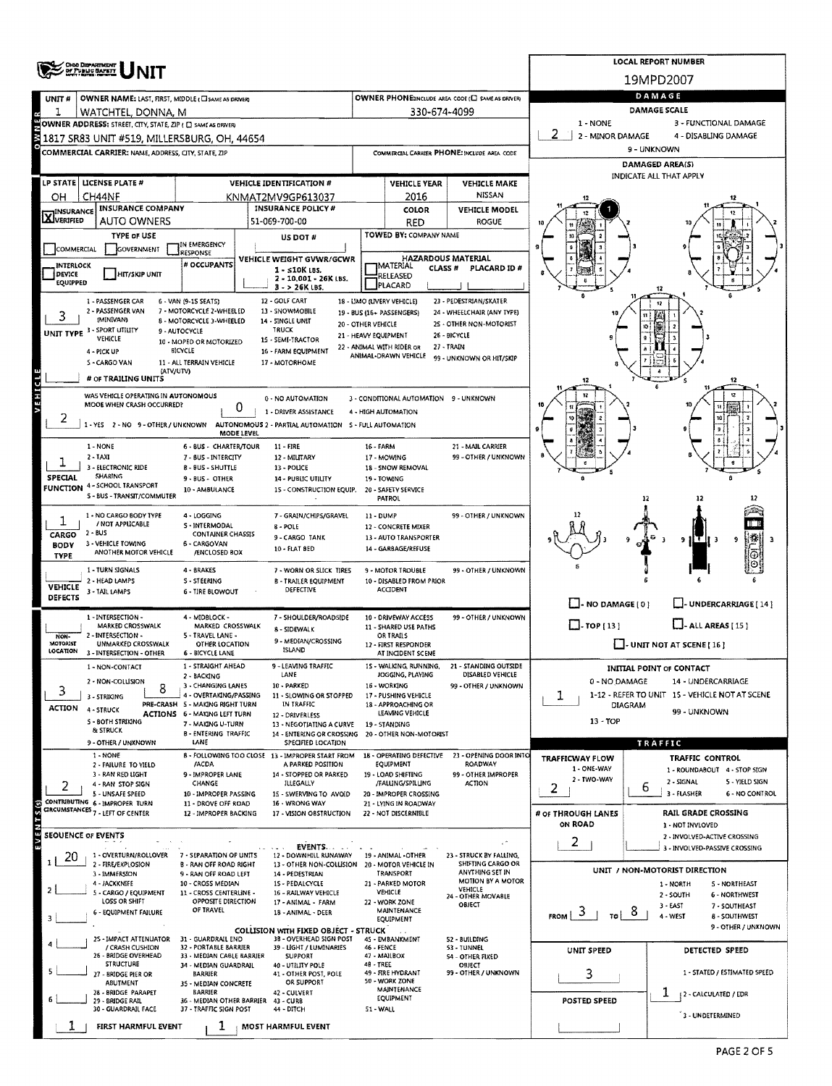|                         | ORO DEPARTMENT<br>OF PUBLIC SAFETY                                                                          |                                                          | <b>LOCAL REPORT NUMBER</b>                                                               |                      |                                                   |                                             |                               |                                                                      |  |  |  |  |  |  |
|-------------------------|-------------------------------------------------------------------------------------------------------------|----------------------------------------------------------|------------------------------------------------------------------------------------------|----------------------|---------------------------------------------------|---------------------------------------------|-------------------------------|----------------------------------------------------------------------|--|--|--|--|--|--|
|                         |                                                                                                             |                                                          |                                                                                          |                      |                                                   |                                             |                               | 19MPD2007                                                            |  |  |  |  |  |  |
| UNIT#                   | OWNER NAME: LAST, FIRST, MIDDLE (C) SAME AS DRIVERY                                                         |                                                          | DAMAGE                                                                                   |                      |                                                   |                                             |                               |                                                                      |  |  |  |  |  |  |
| 1                       | WATCHTEL, DONNA, M                                                                                          |                                                          |                                                                                          |                      | 330-674-4099                                      |                                             |                               | <b>DAMAGE SCALE</b>                                                  |  |  |  |  |  |  |
|                         | OWNER ADDRESS: STREET, CITY, STATE, ZIP ( C) SAME AS DRIVERY<br>1817 SR83 UNIT #519, MILLERSBURG, OH, 44654 |                                                          |                                                                                          |                      |                                                   |                                             | 1 - NONE<br>2 - MINOR DAMAGE  | 3 - FUNCTIONAL DAMAGE<br>4 - DISABLING DAMAGE                        |  |  |  |  |  |  |
|                         | COMMERCIAL CARRIER: NAME, ADDRESS, CITY, STATE, ZIP                                                         |                                                          |                                                                                          |                      |                                                   | COMMERCIAL CARRIER PHONE: INCLUDE AREA CODE | 9 - UNKNOWN                   |                                                                      |  |  |  |  |  |  |
|                         |                                                                                                             |                                                          |                                                                                          |                      |                                                   |                                             | DAMAGED AREA(S)               |                                                                      |  |  |  |  |  |  |
|                         | LP STATE   LICENSE PLATE #                                                                                  |                                                          | <b>VEHICLE IDENTIFICATION #</b>                                                          |                      | <b>VEHICLE YEAR</b>                               | <b>VEHICLE MAKE</b>                         |                               | INDICATE ALL THAT APPLY                                              |  |  |  |  |  |  |
| OН                      | CH44NF                                                                                                      |                                                          | KNMAT2MV9GP613037                                                                        |                      | 2016                                              | <b>NISSAN</b>                               |                               |                                                                      |  |  |  |  |  |  |
| <b>X</b> INSURANCE      | <b>INSURANCE COMPANY</b>                                                                                    |                                                          | <b>INSURANCE POLICY #</b>                                                                |                      | COLOR                                             | <b>VEHICLE MODEL</b>                        |                               |                                                                      |  |  |  |  |  |  |
|                         | <b>AUTO OWNERS</b><br><b>TYPE OF USE</b>                                                                    |                                                          | 51-069-700-00                                                                            |                      | <b>RED</b><br>TOWED BY: COMPANY NAME              | <b>ROGUE</b>                                |                               |                                                                      |  |  |  |  |  |  |
| COMMERCIAL              | <b>GOVERNMENT</b>                                                                                           | IN EMERGENCY                                             | US DOT #                                                                                 |                      |                                                   |                                             |                               |                                                                      |  |  |  |  |  |  |
| INTERLOCK               |                                                                                                             | RESPONSE<br># OCCUPANTS                                  | VEHICLE WEIGHT GVWR/GCWR                                                                 |                      | <b>HAZARDOUS MATERIAL</b><br>IMATERIAL<br>CLASS # | PLACARD ID #                                |                               |                                                                      |  |  |  |  |  |  |
| DEVICE<br>EQUIPPED      | <b>HIT/SKIP UNIT</b>                                                                                        |                                                          | $1 - 510K$ LBS.<br>2 - 10,001 - 26K LBS.                                                 |                      | RELEASED<br><b>PLACARD</b>                        |                                             |                               |                                                                      |  |  |  |  |  |  |
|                         | 1 - PASSENGER CAR                                                                                           | 6 - VAN (9-15 SEATS)                                     | $3 - 26K$ LBS.<br>12 - GOLF CART                                                         |                      | 18 - UMO (UVERY VEHICLE)                          | 23 - PEDESTRIAN/SKATER                      |                               |                                                                      |  |  |  |  |  |  |
|                         | 2 - PASSENGER VAN                                                                                           | 7 - MOTORCYCLE 2-WHEELED                                 | 13 - SNOWMOBILE                                                                          |                      | 19 - BUS (16+ PASSENGERS)                         | 24 - WHEELCHAIR (ANY TYPE)                  |                               |                                                                      |  |  |  |  |  |  |
|                         | (MINIVAN)<br>UNIT TYPE 3 - SPORT UTILITY                                                                    | 8 - MOTORCYCLE 3-WHEELED<br>9 - AUTOCYCLE                | 14 - SINGLE UNIT<br><b>TRUCK</b>                                                         | 20 - OTHER VEHICLE   |                                                   | 25 - OTHER NON-MOTORIST                     |                               |                                                                      |  |  |  |  |  |  |
|                         | VEHICLE                                                                                                     | 10 - MOPED OR MOTORIZED<br>BICYCLE                       | 15 - SEMI-TRACTOR<br>16 - FARM EQUIPMENT                                                 | 21 - HEAVY EQUIPMENT | 22 - ANIMAL WITH RIDER OR                         | 26 - BICYCLE<br>$27 - TRAIN$                |                               |                                                                      |  |  |  |  |  |  |
|                         | 4 - PICK UP<br>5 - CARGO VAN                                                                                | 11 - ALL TERRAIN VEHICLE                                 | 17 - MOTORHOME                                                                           |                      | ANIMAL-DRAWN VEHICLE                              | 99 - UNKNOWN OR HIT/SKIP                    |                               |                                                                      |  |  |  |  |  |  |
|                         | (ATV/UTV)<br># OF TRAILING UNITS                                                                            |                                                          |                                                                                          |                      |                                                   |                                             |                               |                                                                      |  |  |  |  |  |  |
| <b>AEHICTE</b>          | WAS VEHICLE OPERATING IN AUTONOMOUS                                                                         |                                                          | 0 - NO AUTOMATION                                                                        |                      | 3 - CONDITIONAL AUTOMATION 9 - UNKNOWN            |                                             |                               |                                                                      |  |  |  |  |  |  |
|                         | MOOE WHEN CRASH OCCURRED?                                                                                   | 0                                                        | 1 - DRIVER ASSISTANCE                                                                    |                      | 4 - HIGH AUTOMATION                               |                                             |                               |                                                                      |  |  |  |  |  |  |
| 2                       |                                                                                                             |                                                          | 1 - YES 2 - NO 9 - OTHER / UNKNOWN AUTONOMOUS 2 - PARTIAL AUTOMATION S - FULL AUTOMATION |                      |                                                   |                                             |                               |                                                                      |  |  |  |  |  |  |
|                         | 1 - NONE                                                                                                    | <b>MODE LEVEL</b><br>6 - BUS - CHARTER/TOUR              | 11 - FIRE                                                                                | 16 - FARM            |                                                   | 21 - MAIL CARRIER                           |                               |                                                                      |  |  |  |  |  |  |
|                         | $2 - IAXI$                                                                                                  | 7 - BUS - INTERCITY                                      | 12 - MILITARY                                                                            |                      | 17 - MOWING                                       | 99 - OTHER / UNKNOWN                        |                               |                                                                      |  |  |  |  |  |  |
| <b>SPECIAL</b>          | 3 - ELECTRONIC RIDE<br><b>SHARING</b>                                                                       | <b>B-BUS-SHUTTLE</b><br>9 - BUS - OTHER                  | 13 - POLICE<br>14 - PUBLIC UTILITY                                                       |                      | 18 - SNOW REMOVAL<br>19 - TOWING                  |                                             |                               |                                                                      |  |  |  |  |  |  |
|                         | FUNCTION 4 - SCHOOL TRANSPORT<br>S - BUS - TRANSIT/COMMUTER                                                 | 10 - AMBULANCE                                           | 15 - CONSTRUCTION EQUIP.                                                                 |                      | 20 - SAFETY SERVICE                               |                                             |                               |                                                                      |  |  |  |  |  |  |
|                         |                                                                                                             |                                                          |                                                                                          |                      | PATROL                                            |                                             |                               | 12<br>12                                                             |  |  |  |  |  |  |
| 1                       | 1 - NO CARGO BODY TYPE<br>/ NOT APPLICABLE                                                                  | 4 - LOGGING<br>S - INTERMODAL                            | 7 - GRAIN/CHIPS/GRAVEL<br>8 - POLE                                                       | 11 - DUMP            | 12 - CONCRETE MIXER                               | 99 - OTHER / UNKNOWN                        |                               |                                                                      |  |  |  |  |  |  |
| CARGO<br><b>BODY</b>    | 2 - BUS<br>3 - VEHICLE TOWING                                                                               | <b>CONTAINER CHASSIS</b><br>6 - CARGOVAN                 | 9-CARGO TANK                                                                             |                      | 13 - AUTO TRANSPORTER                             |                                             |                               | 9                                                                    |  |  |  |  |  |  |
| TYPE                    | ANOTHER MOTOR VEHICLE                                                                                       | /ENCLOSED BOX                                            | 10 - FLAT BED                                                                            |                      | 14 - GARBAGE/REFUSE                               |                                             |                               |                                                                      |  |  |  |  |  |  |
|                         | 1 - TURN SIGNALS                                                                                            | 4 - BRAKES                                               | 7 - WORN OR SLICK TIRES                                                                  |                      | 9 - MOTOR TROUBLE                                 | 99 - OTHER / UNKNOWN                        |                               |                                                                      |  |  |  |  |  |  |
| VEHICLE                 | 2 - HEAD LAMPS<br>3 - TAIL LAMPS                                                                            | S - STEERING<br><b>6 - TIRE BLOWOUT</b>                  | <b>B - TRAILER EQUIPMENT</b><br>DEFECTIVE                                                |                      | 10 - DISABLED FROM PRIOR<br><b>ACCIDENT</b>       |                                             |                               |                                                                      |  |  |  |  |  |  |
| <b>DEFECTS</b>          |                                                                                                             |                                                          |                                                                                          |                      |                                                   |                                             | $\Box$ - NO DAMAGE(0)         | - UNDERCARRIAGE [14]                                                 |  |  |  |  |  |  |
|                         | 1 - INTERSECTION -<br>MARKED CROSSWALK                                                                      | 4 - MIDBLOCK -<br>MARKED CROSSWALK                       | 7 - SHOULDER/ROADSIDE<br>8 - SIDEWALK                                                    |                      | 10 - DRIVEWAY ACCESS<br>11 - SHARED USE PATHS     | 99 - OTHER / UNKNOWN                        | $\Box$ -TOP(13)               | $\Box$ - ALL AREAS [15]                                              |  |  |  |  |  |  |
| NON-<br><b>MOTORIST</b> | 2 - INTERSECTION -<br>UNMARKED CROSSWALK                                                                    | 5 - TRAVEL LANE -<br>OTHER LOCATION                      | 9 - MEDIAN/CROSSING                                                                      |                      | <b>OR TRAILS</b><br>12 - FIRST RESPONDER          |                                             |                               | $\Box$ - UNIT NOT AT SCENE [ $16$ ]                                  |  |  |  |  |  |  |
| LOCATION                | 3 - INTERSECTION - OTHER                                                                                    | 6 - BICYCLE LANE                                         | ISLAND                                                                                   |                      | AT INCIDENT SCENE                                 |                                             |                               |                                                                      |  |  |  |  |  |  |
|                         | 1 - NON-CONTACT                                                                                             | 1 - STRAIGHT AHEAD<br>2 - BACKING                        | 9 - LEAVING TRAFFIC<br>LANE                                                              |                      | 15 - WALKING, RUNNING,<br>JOGGING, PLAYING        | 21 - STANDING OUTSIDE<br>DISABLED VEHICLE   |                               | <b>INITIAL POINT OF CONTACT</b>                                      |  |  |  |  |  |  |
| 3                       | 2 - NON-COLUSION<br>8<br>3 - STRIKING                                                                       | 3 - CHANGING LANES<br>4 - OVERTAKING/PASSING             | 10 - PARKED<br>11 - SLOWING OR STOPPED                                                   |                      | 16 - WORKING<br>17 - PUSHING VEHICLE              | 99 - OTHER / UNKNOWN                        | 0 - NO DAMAGE<br>1            | 14 - UNDERCARRIAGE<br>1-12 - REFER TO UNIT 15 - VEHICLE NOT AT SCENE |  |  |  |  |  |  |
| <b>ACTION</b>           | 4 - STRUCK                                                                                                  | PRE-CRASH 5 - MAKING RIGHT TURN                          | IN TRAFFIC                                                                               |                      | 18 - APPROACHING OR                               |                                             | DIAGRAM                       | 99 - UNKNOWN                                                         |  |  |  |  |  |  |
|                         | 5 - BOTH STRIKING                                                                                           | <b>ACTIONS 6 - MAKING LEFT TURN</b><br>7 - MAKING U-TURN | 12 - DRIVERLESS<br>13 - NEGOTIATING A CURVE                                              |                      | LEAVING VEHICLE<br>19 - STANDING                  |                                             | 13 - TOP                      |                                                                      |  |  |  |  |  |  |
|                         | & STRUCK<br>9 - OTHER / UNKNOWN                                                                             | <b>B - ENTERING TRAFFIC</b><br>LANE                      | 14 - ENTERING OR CROSSING<br>SPECIFIED LOCATION                                          |                      | 20 - OTHER NON-MOTORIST                           |                                             |                               | <b>TRAFFIC</b>                                                       |  |  |  |  |  |  |
|                         | 1 - NONE                                                                                                    |                                                          | 8 - FOLLOWING TOO CLOSE 13 - IMPROPER START FROM                                         |                      | 18 - OPERATING DEFECTIVE                          | 23 - OPENING DOOR INTO                      | TRAFFICWAY FLOW               | TRAFFIC CONTROL                                                      |  |  |  |  |  |  |
|                         | 2 - FAILURE TO YIELD<br>3 - RAN RED LIGHT                                                                   | /ACDA<br>9 - IMPROPER LANE                               | A PARKED POSITION<br>14 - STOPPED OR PARKED                                              |                      | EQUIPMENT<br>19 - LOAD SHIFTING                   | ROADWAY<br>99 - OTHER IMPROPER              | 1 - ONE-WAY                   | 1 - ROUNDABOUT 4 - STOP SIGN                                         |  |  |  |  |  |  |
| 2                       | 4 - RAN STOP SIGN<br>5 - UNSAFE SPEED                                                                       | CHANGE<br>10 - IMPROPER PASSING                          | <b>ILLEGALLY</b><br>15 - SWERVING TO AVOID                                               |                      | /FALLING/SPILLING<br>20 - IMPROPER CROSSING       | ACTION                                      | 2 - IWO-WAY<br>2              | 2 - SIGNAL<br>5 - YIELD SIGN<br>b<br>3 - FLASHER<br>6 - NO CONTROL   |  |  |  |  |  |  |
|                         | CONTRIBUTING 6 - IMPROPER TURN                                                                              | 11 - DROVE OFF ROAD                                      | 16 - WRONG WAY                                                                           |                      | 21 - LYING IN ROADWAY                             |                                             |                               |                                                                      |  |  |  |  |  |  |
| ENTS(S)                 | CIRCUMSTANCES 7 - LEFT OF CENTER                                                                            | 12 - IMPROPER BACKING                                    | 17 - VISION OBSTRUCTION                                                                  |                      | 22 - NOT DISCERNIBLE                              |                                             | # of THROUGH LANES<br>ON ROAD | <b>RAIL GRADE CROSSING</b><br>1 - NOT INVLOVED                       |  |  |  |  |  |  |
|                         | <b>SEOUENCE OF EVENTS</b>                                                                                   |                                                          |                                                                                          |                      |                                                   |                                             | 2                             | 2 - INVOLVED-ACTIVE CROSSING                                         |  |  |  |  |  |  |
| 20                      | 1 - OVERTURN/ROLLOVER                                                                                       | 7 - SEPARATION OF UNITS                                  | EVENTS<br>12 - DOWNHILL RUNAWAY                                                          |                      | 19 - ANIMAL -OTHER                                | 23 - STRUCK BY FALLING,                     |                               | 3 - INVOLVED-PASSIVE CROSSING                                        |  |  |  |  |  |  |
|                         | 2 - FIRE/EXPLOSION<br>3 - IMMERSION                                                                         | <b>B - RAN OFF ROAD RIGHT</b><br>9 - RAN OFF ROAD LEFT   | 13 - OTHER NON-COLLISION 20 - MOTOR VEHICLE IN<br>14 - PEDESTRIAN                        |                      | TRANSPORT                                         | SHIFTING CARGO OR<br>ANYTHING SET IN        |                               | UNIT / NON-MOTORIST DIRECTION                                        |  |  |  |  |  |  |
|                         | 4 - JACKKNIFE                                                                                               | 10 - CROSS MÉDIAN<br>11 - CROSS CENTERLINE -             | 15 - PEDALCYCLE                                                                          |                      | 21 - PARKED MOTOR<br>VEHICLE                      | MOTION BY A MOTOR<br>VEHICLE                |                               | 1 - NORTH<br>5 - NORTHEAST                                           |  |  |  |  |  |  |
|                         | 5 - CARGO / EQUIPMENT<br>LOSS OR SHIFT                                                                      | OPPOSITE DIRECTION                                       | 16 - RAILWAY VEHICLE<br>17 - ANIMAL - FARM                                               |                      | 22 - WORK ZONE                                    | 24 - OTHER MOVABLE<br>OBJECT                |                               | 2 - SOUTH<br><b>6 - NORTHWEST</b><br>$3 - EAST$<br>7 - SOUTHEAST     |  |  |  |  |  |  |
|                         | 6 - EQUIPMENT FAILURE                                                                                       | OF TRAVEL                                                | 18 - ANIMAL - DEER                                                                       |                      | MAINTENANCE<br>EQUIPMENT                          |                                             | 3<br><b>FROM</b><br>TO I      | ŏ<br>4 - WEST<br>8 - SOUTHWEST                                       |  |  |  |  |  |  |
|                         | 25 - IMPACT ATTENUATOR                                                                                      | 31 - GUARDRAIL END                                       | COLLISION WITH FIXED OBJECT - STRUCK<br>38 - OVERHEAD SIGN POST                          |                      | 45 - EMBANXMENT                                   | S2 - BUILDING                               |                               | 9 - OTHER / UNKNOWN                                                  |  |  |  |  |  |  |
|                         | / CRASH CUSHION<br>26 - BRIDGE OVERHEAD                                                                     | 32 - PORTABLE BARRIER<br>33 - MEDIAN CABLE BARRIER       | 39 - LIGHT / LUMINARIES<br><b>SUPPORT</b>                                                | <b>46 - FENCE</b>    | 47 - MAILBOX                                      | 53 - TUNNEL<br><b>S4 - OTHER FIXED</b>      | UNIT SPEED                    | DETECTED SPEED                                                       |  |  |  |  |  |  |
|                         | <b>STRUCTURE</b><br>27 - BRIDGE PIER OR                                                                     | 34 - MEDIAN GUARDRAIL<br>BARRIER                         | 40 - UTILITY POLE<br>41 - OTHER POST, POLE                                               | 48 - TREE            | 49 - FIRE HYDRANT                                 | OBJECT<br>99 - OTHER / UNKNOWN              | 3                             | 1 - STATED / ESTIMATED SPEED                                         |  |  |  |  |  |  |
|                         | <b>ABUTMENT</b>                                                                                             | 35 - MEDIAN CONCRETE                                     | OR SUPPORT                                                                               |                      | 50 - WORK ZONE<br>MAINTENANCE                     |                                             |                               |                                                                      |  |  |  |  |  |  |
|                         | 28 - BRIDGE PARAPET<br>29 - BRIDGE RAIL                                                                     | <b>BARRIER</b><br>36 - MEDIAN OTHER BARRIER 43 - CURB    | 42 - CULVERT                                                                             |                      | EQUIPMENT                                         |                                             | <b>POSTED SPEED</b>           | T.<br>12 - CALCULATED / EDR                                          |  |  |  |  |  |  |
|                         | 30 - GUARDRAIL FACE                                                                                         | 37 - TRAFFIC SIGN POST                                   | 44 - DITCH                                                                               | 51 - WALL            |                                                   |                                             |                               | 3 - UNDETERMINED                                                     |  |  |  |  |  |  |
|                         | FIRST HARMFUL EVENT                                                                                         | ı                                                        | MOST HARMFUL EVENT                                                                       |                      |                                                   |                                             |                               |                                                                      |  |  |  |  |  |  |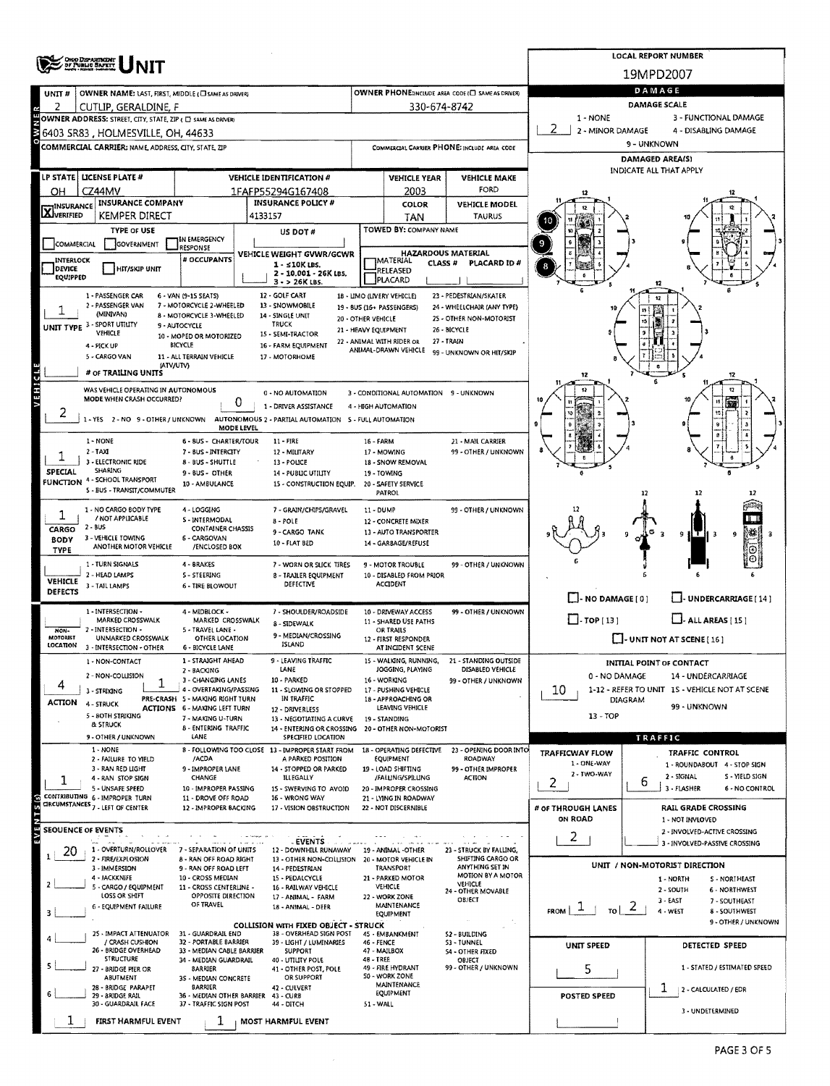|                                                                                     | ORIO DEPARTMENT<br>OF PUBLIC SAFETY                                                  |                                                                        | <b>LOCAL REPORT NUMBER</b> |                                                                       |                           |                                                               |                                                            |                                                   |              |                                                               |  |  |  |  |
|-------------------------------------------------------------------------------------|--------------------------------------------------------------------------------------|------------------------------------------------------------------------|----------------------------|-----------------------------------------------------------------------|---------------------------|---------------------------------------------------------------|------------------------------------------------------------|---------------------------------------------------|--------------|---------------------------------------------------------------|--|--|--|--|
|                                                                                     |                                                                                      |                                                                        |                            |                                                                       |                           |                                                               |                                                            |                                                   |              | 19MPD2007                                                     |  |  |  |  |
| UNIT#                                                                               | OWNER NAME: LAST, FIRST, MIDDLE (CI SAME AS DRIVER)                                  |                                                                        |                            |                                                                       |                           |                                                               | OWNER PHONE:INCLUDE AREA CODE (C) SAME AS DRIVER)          | DAMAGE                                            |              |                                                               |  |  |  |  |
| 2                                                                                   | CUTLIP, GERALDINE, F<br>OWNER ADDRESS: STREET, CITY, STATE, ZIP ( C) SAME AS DRIVERY |                                                                        | 330-674-8742               | DAMAGE SCALE<br>1 - NONE<br>3 - FUNCTIONAL DAMAGE                     |                           |                                                               |                                                            |                                                   |              |                                                               |  |  |  |  |
| 2<br>2 - MINOR DAMAGE<br>4 - DISABLING DAMAGE<br>6403 SR83 , HOLMESVILLE, OH, 44633 |                                                                                      |                                                                        |                            |                                                                       |                           |                                                               |                                                            |                                                   |              |                                                               |  |  |  |  |
|                                                                                     | COMMERCIAL CARRIER: NAME, ADDRESS, CITY, STATE, ZIP                                  |                                                                        |                            |                                                                       |                           |                                                               | COMMERCIAL CARRIER PHONE: INCLUDE AREA CODE                | 9 - UNKNOWN                                       |              |                                                               |  |  |  |  |
|                                                                                     |                                                                                      |                                                                        |                            |                                                                       |                           |                                                               |                                                            | <b>DAMAGED AREA(S)</b><br>INDICATE ALL THAT APPLY |              |                                                               |  |  |  |  |
| LP STATE                                                                            | LICENSE PLATE #                                                                      |                                                                        |                            | <b>VEHICLE IDENTIFICATION #</b>                                       |                           | <b>VEHICLE YEAR</b>                                           | <b>VEHICLE MAKE</b>                                        |                                                   |              |                                                               |  |  |  |  |
| он                                                                                  | CZ44MV<br><b>INSURANCE COMPANY</b>                                                   |                                                                        |                            | 1FAFP55294G167408<br><b>INSURANCE POLICY #</b>                        |                           | 2003                                                          | FORD                                                       |                                                   |              |                                                               |  |  |  |  |
| <b>X</b> INSURANCE                                                                  | KEMPER DIRECT                                                                        |                                                                        | 4133157                    |                                                                       |                           | COLOR<br><b>TAN</b>                                           | <b>VEHICLE MODEL</b><br><b>TAURUS</b>                      |                                                   |              |                                                               |  |  |  |  |
|                                                                                     | <b>TYPE OF USE</b>                                                                   |                                                                        |                            | US DOT#                                                               |                           | TOWED BY: COMPANY NAME                                        |                                                            |                                                   |              |                                                               |  |  |  |  |
| COMMERCIAL                                                                          | GOVERNMENT                                                                           | IN EMERGENCY<br>RESPONSE                                               |                            |                                                                       | <b>HAZARDOUS MATERIAL</b> |                                                               |                                                            |                                                   |              |                                                               |  |  |  |  |
| INTERLOCK<br>DEVICE                                                                 | <b>HIT/SKIP UNIT</b>                                                                 | # OCCUPANTS                                                            |                            | VEHICLE WEIGHT GVWR/GCWR<br>1 - ≤10K LBS.                             |                           | MATERIAL<br>CLASS <sup>#</sup><br>RELEASED                    | PLACARD ID #                                               | 8                                                 |              |                                                               |  |  |  |  |
| EQUIPPED                                                                            |                                                                                      |                                                                        |                            | 2 - 10.001 - 26K LBS.<br>$3 - 26K$ LBS.                               |                           | PLACARD                                                       |                                                            |                                                   |              |                                                               |  |  |  |  |
|                                                                                     | 1 - PASSENGER CAR<br>2 - PASSENGER VAN                                               | 6 - VAN (9-15 SEATS)<br>7 - MOTORCYCLE 2-WHEELED                       |                            | 12 - GOLF CART<br>13 - SNOWMOBILE                                     |                           | 18 - LIMO (LIVERY VEHICLE)                                    | 23 - PEDESTRIAN/SKATER<br>24 - WHEELCHAIR (ANY TYPE)       |                                                   |              |                                                               |  |  |  |  |
|                                                                                     | (MINIVAN)                                                                            | 8 - MOTORCYCLE 3-WHEELED                                               |                            | 14 - SINGLE UNIT                                                      | 20 - OTHER VEHICLE        | 19 - BUS (16+ PASSENGERS)                                     | 25 - OTHER NON-MOTORIST                                    |                                                   |              |                                                               |  |  |  |  |
|                                                                                     | UNIT TYPE 3 - SPORT UTILITY<br><b>VEHICLE</b>                                        | 9 - AUTOCYCLE<br>10 - MOPED OR MOTORIZED                               |                            | <b>TRUCK</b><br>15 - SEMI-TRACTOR                                     | 21 - HEAVY EQUIPMENT      |                                                               | 26 - BICYCLE                                               |                                                   |              |                                                               |  |  |  |  |
|                                                                                     | 4 - PICK UP<br>5 - CARGO VAN                                                         | BICYCLE<br>11 - ALL TERRAIN VEHICLE                                    |                            | 16 - FARM EQUIPMENT<br>17 - MOTORHOME                                 |                           | 22 - ANIMAL WITH RIDER OR<br>ANIMAL-DRAWN VEHICLE             | 27 - TRAIN<br>99 - UNKNOWN OR HIT/SKIP                     |                                                   |              |                                                               |  |  |  |  |
|                                                                                     | (ATV/UTV)<br># of TRAILING UNITS                                                     |                                                                        |                            |                                                                       |                           |                                                               |                                                            |                                                   |              | ۰                                                             |  |  |  |  |
| VEHICLE                                                                             | WAS VEHICLE OPERATING IN AUTONOMOUS                                                  |                                                                        |                            |                                                                       |                           |                                                               |                                                            | 12                                                |              | 12<br>12                                                      |  |  |  |  |
|                                                                                     | MODE WHEN CRASH OCCURRED?                                                            |                                                                        | 0                          | 0 - NO AUTOMATION<br>1 - DRIVER ASSISTANCE                            |                           | 3 - CONDITIONAL AUTOMATION 9 - UNKNOWN<br>4 - HIGH AUTOMATION |                                                            |                                                   |              |                                                               |  |  |  |  |
|                                                                                     | 1-YES 2-NO 9-OTHER/UNKNOWN                                                           |                                                                        |                            | AUTONOMOUS 2 - PARTIAL AUTOMATION 5 - FULL AUTOMATION                 |                           |                                                               |                                                            |                                                   |              |                                                               |  |  |  |  |
|                                                                                     | 1 - NONE                                                                             | 6 - BUS - CHARTER/TOUR                                                 | MODE LEVEL                 | 11 - FIRE                                                             | 16 - FARM                 |                                                               | 21 - MAIL CARRIER                                          |                                                   |              |                                                               |  |  |  |  |
|                                                                                     | $2 - T A XI$                                                                         | 7 - BUS - INTERCITY                                                    |                            | 12 - MILITARY                                                         |                           | 17 - MOWING                                                   | 99 - OTHER / UNKNOWN                                       |                                                   |              |                                                               |  |  |  |  |
| SPECIAL                                                                             | 3 - ELECTRONIC RIDE<br><b>SHARING</b>                                                | 8 - BUS - SHUTTLE<br>9 - BUS - OTHER                                   |                            | 13 - POLICE<br>14 - PUBLIC UTILITY                                    |                           | 18 - SNOW REMOVAL<br>19 - TOWING                              |                                                            |                                                   |              | 6                                                             |  |  |  |  |
|                                                                                     | <b>FUNCTION 4 - SCHOOL TRANSPORT</b><br>5 - BUS - TRANSIT/COMMUTER                   | 10 - AMBULANCE                                                         |                            | 15 - CONSTRUCTION EQUIP.                                              |                           | 20 - SAFETY SERVICE                                           |                                                            |                                                   |              |                                                               |  |  |  |  |
|                                                                                     |                                                                                      |                                                                        |                            |                                                                       |                           | PATROL                                                        |                                                            |                                                   | 12           |                                                               |  |  |  |  |
| ı                                                                                   | 1 - NO CARGO BODY TYPE<br>/ NOT APPLICABLE                                           | 4 - LOGGING<br>S - INTERMODAL                                          |                            | 7 - GRAIN/CHIPS/GRAVEL<br>8 - POLE                                    | 11 - DUMP                 | 12 - CONCRETE MIXER                                           | 99 - OTHER / UNKNOWN                                       |                                                   |              | Ŧ                                                             |  |  |  |  |
| CARGO<br><b>BODY</b>                                                                | $2 - 8US$<br>3 - VEHICLE TOWING                                                      | <b>CONTAINER CHASSIS</b><br>6 - CARGOVAN                               |                            | 9 - CARGO TANK                                                        |                           | 13 - AUTO TRANSPORTER                                         |                                                            |                                                   |              | 弽<br>9<br>9                                                   |  |  |  |  |
| <b>TYPE</b>                                                                         | ANOTHER MOTOR VEHICLE                                                                | /ENCLOSED BOX                                                          |                            | 10 - FLAT BED                                                         |                           | 14 - GARBAGE/REFUSE                                           |                                                            |                                                   |              | ۰                                                             |  |  |  |  |
|                                                                                     | 1 - TURN SIGNALS<br>2 - HEAD LAMPS                                                   | 4 - BRAKES<br>S - STEERING                                             |                            | 7 - WORN OR SLICK TIRES<br><b>8 - TRAILER EQUIPMENT</b>               |                           | 9 - MOTOR TROUBLE<br>10 - DISABLED FROM PRIOR                 | 99 - OTHER / UNKNOWN                                       |                                                   |              |                                                               |  |  |  |  |
| <b>VEHICLE</b><br>DEFECTS                                                           | 3 - TAIL LAMPS                                                                       | <b>6 - TIRE BLOWOUT</b>                                                |                            | DEFECTIVE                                                             |                           | <b>ACCIDENT</b>                                               |                                                            |                                                   |              |                                                               |  |  |  |  |
|                                                                                     |                                                                                      |                                                                        |                            |                                                                       |                           |                                                               |                                                            | $\Box$ - NO DAMAGE [ 0 ]                          |              | UNDERCARRIAGE [14]                                            |  |  |  |  |
|                                                                                     | 1 - INTERSECTION -<br><b>MARKED CROSSWALK</b>                                        | 4 - MIDBLOCK -<br>MARKED CROSSWALK                                     |                            | 7 - SHOULDER/ROADSIDE<br>8 - SIDEWALK                                 |                           | 10 - DRIVEWAY ACCESS<br>11 - SHARED USE PATHS                 | 99 - OTHER / UNKNOWN                                       | $\Box$ -TOP [13]                                  |              | $\Box$ - ALL AREAS [15]                                       |  |  |  |  |
| NON-<br><b>MOTORIST</b>                                                             | 2 - INTERSECTION -<br>UNMARKED CROSSWALK                                             | 5 - TRAVEL LANE -<br>OTHER LOCATION                                    |                            | 9 - MEDIAN/CROSSING                                                   |                           | OR TRAILS<br>12 - FIRST RESPONDER                             |                                                            |                                                   |              | $\Box$ - UNIT NOT AT SCENE [16]                               |  |  |  |  |
| LOCATION                                                                            | 3 - INTERSECTION - OTHER                                                             | 6 - BICYCLE LANE                                                       |                            | <b>ISLAND</b>                                                         |                           | AT INCIDENT SCENE                                             |                                                            |                                                   |              |                                                               |  |  |  |  |
|                                                                                     | 1 - NON-CONTACT<br>2 - NON-COLLISION                                                 | 1 - STRAIGHT AHEAD<br>2 - BACKING                                      |                            | 9 - LEAVING TRAFFIC<br>LANE                                           |                           | WALKING, RUNNING,<br>JOGGING, PLAYING                         | 21 - STANDING OUTSIDE<br>DISABLED VEHICLE                  | 0 - NO DAMAGE                                     |              | <b>INITIAL POINT OF CONTACT</b><br>14 - UNDERCARRIAGE         |  |  |  |  |
| 4                                                                                   | 1<br>3 - STRIKING                                                                    | 3 - CHANGING LANES<br>4 - OVERTAKING/PASSING                           |                            | 10 - PARKED<br>11 - SLOWING OR STOPPED                                |                           | 16 WORKING<br>17 - PUSHING VEHICLE                            | 99 - OTHER / UNKNOWN                                       | 10                                                |              | 1-12 - REFER TO UNIT 15 - VEHICLE NOT AT SCENE                |  |  |  |  |
| <b>ACTION</b>                                                                       | 4 - STRUCK                                                                           | PRE-CRASH 5 - MAKING RIGHT TURN<br><b>ACTIONS 6 - MAKING LEFT TURN</b> |                            | IN TRAFFIC                                                            |                           | 18 - APPROACHING OR<br>LEAVING VEHICLE                        |                                                            |                                                   | DIAGRAM      | 99 - UNKNOWN                                                  |  |  |  |  |
|                                                                                     | 5 - 80TH STRIKING<br><b>&amp; STRUCK</b>                                             | 7 - MAKING U-TURN                                                      |                            | 12 - DRIVERLESS<br>13 - NEGOTIATING A CURVE                           |                           | 19 - STANDING                                                 |                                                            | 13 - TOP                                          |              |                                                               |  |  |  |  |
|                                                                                     | 9 - OTHER / UNKNOWN                                                                  | <b>B-ENTERING TRAFFIC</b><br>LANE                                      |                            | 14 - ENTERING OR CROSSING<br>SPECIFIED LOCATION                       |                           | 20 - OTHER NON-MOTORIST                                       |                                                            |                                                   |              | TRAFFIC                                                       |  |  |  |  |
|                                                                                     | 1 - NONE<br>2 - FAILURE TO YIELD                                                     | /ACDA                                                                  |                            | 8 - FOLLOWING TOO CLOSE 13 - IMPROPER START FROM<br>A PARKED POSITION |                           | EQUIPMENT                                                     | 18 - OPERATING DEFECTIVE 23 - OPENING DOOR INTO<br>ROADWAY | <b>TRAFFICWAY FLOW</b>                            |              | <b>TRAFFIC CONTROL</b>                                        |  |  |  |  |
|                                                                                     | 3 - RAN RED LIGHT                                                                    | 9 - IMPROPER LANE                                                      |                            | 14 - STOPPED OR PARKED                                                |                           | 19 - LOAD SHIFTING                                            | 99 - OTHER IMPROPER                                        | 1 - ONE-WAY<br>2 - TWO-WAY                        |              | 1 - ROUNDABOUT 4 - STOP SIGN<br>2 - SIGNAL<br>S - YIELD SIGN  |  |  |  |  |
|                                                                                     | 4 - RAN STOP SIGN<br>5 - UNSAFE SPEED                                                | CHANGE<br>10 - IMPROPER PASSING                                        |                            | <b>ILLEGALLY</b><br>15 - SWERVING TO AVOID                            |                           | /FALLING/SPILLING<br>20 - IMPROPER CROSSING                   | ACTION                                                     | 2                                                 | 6            | 3 - FLASHER<br>6 - NO CONTROL                                 |  |  |  |  |
|                                                                                     | CONTRIBUTING 6 - IMPROPER TURN<br>CIRCUMSTANCES <sub>7</sub> - LEFT OF CENTER        | 11 - DROVE OFF ROAD<br>12 - IMPROPER BACKING                           |                            | 16 - WRONG WAY<br>17 - VISION OBSTRUCTION                             |                           | 21 - LYING IN ROADWAY<br>22 - NOT DISCERNIBLE                 |                                                            | # OF THROUGH LANES                                |              | <b>RAIL GRADE CROSSING</b>                                    |  |  |  |  |
| INEVE                                                                               |                                                                                      |                                                                        |                            |                                                                       |                           |                                                               |                                                            | ON ROAD                                           |              | 1 - NOT INVLOVED                                              |  |  |  |  |
| SEOUENCE OF EVENTS                                                                  |                                                                                      |                                                                        |                            | <b>EVENTS</b>                                                         |                           |                                                               |                                                            | 2                                                 |              | 2 - INVOLVED-ACTIVE CROSSING<br>3 - INVOLVED-PASSIVE CROSSING |  |  |  |  |
| 20                                                                                  | 1 - OVERTURN/ROLLOVER<br>2 - FIRE/EXPLOSION                                          | 7 - SEPARATION OF UNITS<br>8 - RAN OFF ROAD RIGHT                      |                            | 12 - DOWNHILL RUNAWAY<br>13 - OTHER NON-COLLISION                     |                           | 19 - ANIMAL -OTHER<br>20 - MOTOR VEHICLE IN                   | 23 - STRUCK BY FALLING,<br>SHIFTING CARGO OR               |                                                   |              |                                                               |  |  |  |  |
|                                                                                     | 3 - IMMERSION<br>4 - JACKKNIFE                                                       | 9 - RAN OFF ROAD LEFT<br>10 - CROSS MEDIAN                             |                            | 14 - PEDESTRIAN<br>15 - PEDALCYCLE                                    |                           | <b>TRANSPORT</b><br>21 - PARKED MOTOR                         | ANYTHING SET IN<br>MOTION BY A MOTOR                       |                                                   |              | UNIT / NON-MOTORIST DIRECTION                                 |  |  |  |  |
|                                                                                     | 5 - CARGO / EQUIPMENT                                                                | 11 - CROSS CENTERLINE -                                                |                            | 16 - RAILWAY VEHICLE                                                  |                           | VEHICLE                                                       | VEHICLE<br>24 - OTHER MOVABLE                              |                                                   |              | 1 - NORTH<br>S - NORTHEAST<br>$2 - SOLTH$<br>6 - NORTHWEST    |  |  |  |  |
|                                                                                     | LOSS OR SHIFT<br>6 - EQUIPMENT FAILURE                                               | OPPOSITE DIRECTION<br>OF TRAVEL                                        |                            | 17 - ANIMAL - FARM<br>18 - ANIMAL - DEER                              |                           | 22 - WORK ZONE<br>MAINTENANCE                                 | <b>OBJECT</b>                                              | <b>FROM</b><br>$T_0$                              | $\mathbf{z}$ | 3 - EAST<br>7 - SOUTHEAST<br>4 - WEST                         |  |  |  |  |
|                                                                                     |                                                                                      |                                                                        |                            | <b>COLLISION WITH FIXED OBJECT - STRUCK</b>                           |                           | EQUIPMENT                                                     |                                                            |                                                   |              | 8 - SOUTHWEST<br>9 - OTHER / UNKNOWN                          |  |  |  |  |
|                                                                                     | 25 - IMPACT ATTENUATOR<br>/ CRASH CUSHION                                            | 31 - GUARDRAIL END<br>32 - PORTABLE BARRIER                            |                            | 38 - OVERHEAD SIGN POST<br>39 - LIGHT / LUMINARIES                    | 46 - FENCE                | 45 EMBANKMENT                                                 | 52 - BUILDING<br>53 - TUNNEL                               |                                                   |              |                                                               |  |  |  |  |
|                                                                                     | 26 - BRIDGE OVERHEAD<br>STRUCTURE                                                    | 33 - MEDIAN CABLE BARRIER<br>34 - MEDIAN GUARDRAIL                     |                            | <b>SUPPORT</b><br>40 - UTILITY POLE                                   | 48 - TREE                 | 47 - MAILBOX                                                  | <b>S4 - OTHER FIXED</b><br><b>OBJECT</b>                   | UNIT SPEED                                        |              | DETECTED SPEED                                                |  |  |  |  |
|                                                                                     | - BRIDGE PIER OR                                                                     | <b>SARRIER</b>                                                         |                            | 41 OTHER POST, POLE                                                   |                           | 49 - FIRE HYDRANT<br>50 - WORK ZONE                           | 99 - OTHER / UNKNOWN                                       | 5                                                 |              | 1 - STATED / ESTIMATED SPEED                                  |  |  |  |  |
|                                                                                     | <b>ABUTMENT</b><br>28 - BRIDGE PARAPET                                               | 35 - MEDIAN CONCRETE<br>BARRIER                                        |                            | OR SUPPORT<br>42 - CULVERT                                            |                           | MAINTENANCE                                                   |                                                            |                                                   |              | ı<br>2 - CALCULATED / EDR                                     |  |  |  |  |
|                                                                                     | 29 - BRIDGE RAIL<br>30 - GUARDRAIL FACE                                              | 36 - MEDIAN OTHER BARRIER 43 - CURB<br>37 - TRAFFIC SIGN POST          |                            | 44 - DITCH                                                            | 51 - WALL                 | EQUIPMENT                                                     |                                                            | <b>POSTED SPEED</b>                               |              |                                                               |  |  |  |  |
|                                                                                     | FIRST HARMFUL EVENT                                                                  |                                                                        |                            | MOST HARMFUL EVENT                                                    |                           |                                                               |                                                            |                                                   |              | 3 - UNDETERMINED                                              |  |  |  |  |